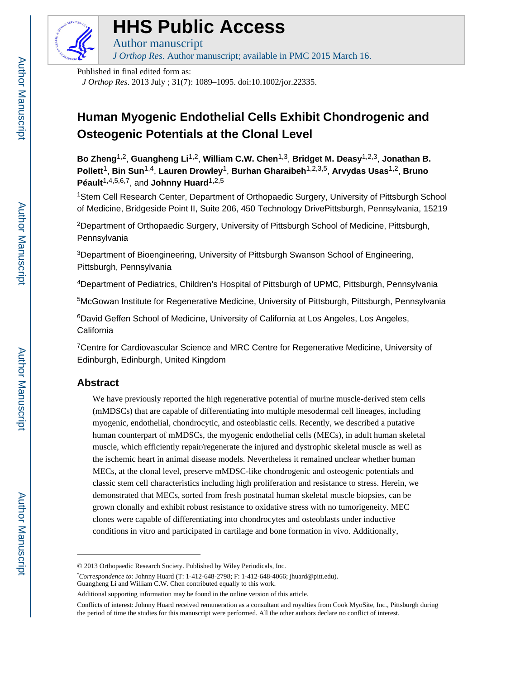

# **HHS Public Access**

Author manuscript *J Orthop Res*. Author manuscript; available in PMC 2015 March 16.

Published in final edited form as:

*J Orthop Res*. 2013 July ; 31(7): 1089–1095. doi:10.1002/jor.22335.

# **Human Myogenic Endothelial Cells Exhibit Chondrogenic and Osteogenic Potentials at the Clonal Level**

**Bo Zheng**1,2, **Guangheng Li**1,2, **William C.W. Chen**1,3, **Bridget M. Deasy**1,2,3, **Jonathan B. Pollett**1, **Bin Sun**1,4, **Lauren Drowley**1, **Burhan Gharaibeh**1,2,3,5, **Arvydas Usas**1,2, **Bruno**  Péault<sup>1,4,5,6,7</sup>, and **Johnny Huard**<sup>1,2,5</sup>

<sup>1</sup>Stem Cell Research Center, Department of Orthopaedic Surgery, University of Pittsburgh School of Medicine, Bridgeside Point II, Suite 206, 450 Technology DrivePittsburgh, Pennsylvania, 15219

<sup>2</sup>Department of Orthopaedic Surgery, University of Pittsburgh School of Medicine, Pittsburgh, Pennsylvania

<sup>3</sup>Department of Bioengineering, University of Pittsburgh Swanson School of Engineering, Pittsburgh, Pennsylvania

<sup>4</sup>Department of Pediatrics, Children's Hospital of Pittsburgh of UPMC, Pittsburgh, Pennsylvania

<sup>5</sup>McGowan Institute for Regenerative Medicine, University of Pittsburgh, Pittsburgh, Pennsylvania

<sup>6</sup>David Geffen School of Medicine, University of California at Los Angeles, Los Angeles, California

<sup>7</sup>Centre for Cardiovascular Science and MRC Centre for Regenerative Medicine, University of Edinburgh, Edinburgh, United Kingdom

# **Abstract**

We have previously reported the high regenerative potential of murine muscle-derived stem cells (mMDSCs) that are capable of differentiating into multiple mesodermal cell lineages, including myogenic, endothelial, chondrocytic, and osteoblastic cells. Recently, we described a putative human counterpart of mMDSCs, the myogenic endothelial cells (MECs), in adult human skeletal muscle, which efficiently repair/regenerate the injured and dystrophic skeletal muscle as well as the ischemic heart in animal disease models. Nevertheless it remained unclear whether human MECs, at the clonal level, preserve mMDSC-like chondrogenic and osteogenic potentials and classic stem cell characteristics including high proliferation and resistance to stress. Herein, we demonstrated that MECs, sorted from fresh postnatal human skeletal muscle biopsies, can be grown clonally and exhibit robust resistance to oxidative stress with no tumorigeneity. MEC clones were capable of differentiating into chondrocytes and osteoblasts under inductive conditions in vitro and participated in cartilage and bone formation in vivo. Additionally,

<sup>© 2013</sup> Orthopaedic Research Society. Published by Wiley Periodicals, Inc.

<sup>\*</sup>*Correspondence to:* Johnny Huard (T: 1-412-648-2798; F: 1-412-648-4066; jhuard@pitt.edu). Guangheng Li and William C.W. Chen contributed equally to this work.

Additional supporting information may be found in the online version of this article.

Conflicts of interest: Johnny Huard received remuneration as a consultant and royalties from Cook MyoSite, Inc., Pittsburgh during the period of time the studies for this manuscript were performed. All the other authors declare no conflict of interest.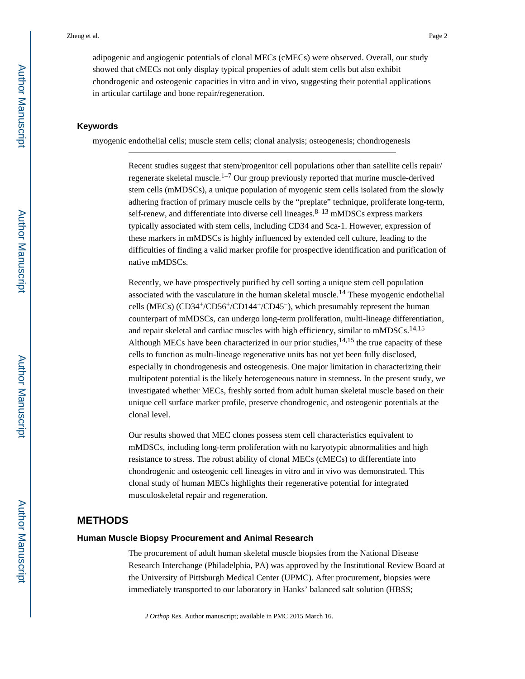adipogenic and angiogenic potentials of clonal MECs (cMECs) were observed. Overall, our study showed that cMECs not only display typical properties of adult stem cells but also exhibit chondrogenic and osteogenic capacities in vitro and in vivo, suggesting their potential applications in articular cartilage and bone repair/regeneration.

#### **Keywords**

myogenic endothelial cells; muscle stem cells; clonal analysis; osteogenesis; chondrogenesis

Recent studies suggest that stem/progenitor cell populations other than satellite cells repair/ regenerate skeletal muscle.<sup>1–7</sup> Our group previously reported that murine muscle-derived stem cells (mMDSCs), a unique population of myogenic stem cells isolated from the slowly adhering fraction of primary muscle cells by the "preplate" technique, proliferate long-term, self-renew, and differentiate into diverse cell lineages.  $8-13$  mMDSCs express markers typically associated with stem cells, including CD34 and Sca-1. However, expression of these markers in mMDSCs is highly influenced by extended cell culture, leading to the difficulties of finding a valid marker profile for prospective identification and purification of native mMDSCs.

Recently, we have prospectively purified by cell sorting a unique stem cell population associated with the vasculature in the human skeletal muscle.<sup>14</sup> These myogenic endothelial cells (MECs) (CD34+/CD56+/CD144+/CD45−), which presumably represent the human counterpart of mMDSCs, can undergo long-term proliferation, multi-lineage differentiation, and repair skeletal and cardiac muscles with high efficiency, similar to mMDSCs.<sup>14,15</sup> Although MECs have been characterized in our prior studies,  $14,15$  the true capacity of these cells to function as multi-lineage regenerative units has not yet been fully disclosed, especially in chondrogenesis and osteogenesis. One major limitation in characterizing their multipotent potential is the likely heterogeneous nature in stemness. In the present study, we investigated whether MECs, freshly sorted from adult human skeletal muscle based on their unique cell surface marker profile, preserve chondrogenic, and osteogenic potentials at the clonal level.

Our results showed that MEC clones possess stem cell characteristics equivalent to mMDSCs, including long-term proliferation with no karyotypic abnormalities and high resistance to stress. The robust ability of clonal MECs (cMECs) to differentiate into chondrogenic and osteogenic cell lineages in vitro and in vivo was demonstrated. This clonal study of human MECs highlights their regenerative potential for integrated musculoskeletal repair and regeneration.

# **METHODS**

#### **Human Muscle Biopsy Procurement and Animal Research**

The procurement of adult human skeletal muscle biopsies from the National Disease Research Interchange (Philadelphia, PA) was approved by the Institutional Review Board at the University of Pittsburgh Medical Center (UPMC). After procurement, biopsies were immediately transported to our laboratory in Hanks' balanced salt solution (HBSS;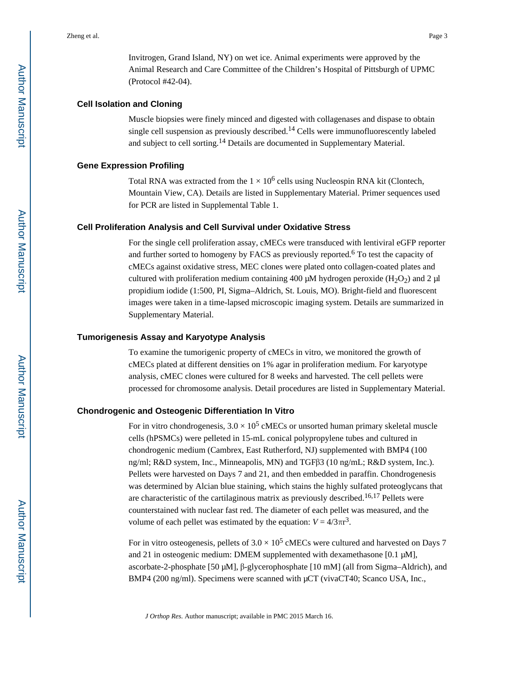Invitrogen, Grand Island, NY) on wet ice. Animal experiments were approved by the Animal Research and Care Committee of the Children's Hospital of Pittsburgh of UPMC (Protocol #42-04).

#### **Cell Isolation and Cloning**

Muscle biopsies were finely minced and digested with collagenases and dispase to obtain single cell suspension as previously described.<sup>14</sup> Cells were immunofluorescently labeled and subject to cell sorting.14 Details are documented in Supplementary Material.

#### **Gene Expression Profiling**

Total RNA was extracted from the  $1 \times 10^6$  cells using Nucleospin RNA kit (Clontech, Mountain View, CA). Details are listed in Supplementary Material. Primer sequences used for PCR are listed in Supplemental Table 1.

#### **Cell Proliferation Analysis and Cell Survival under Oxidative Stress**

For the single cell proliferation assay, cMECs were transduced with lentiviral eGFP reporter and further sorted to homogeny by FACS as previously reported.<sup>6</sup> To test the capacity of cMECs against oxidative stress, MEC clones were plated onto collagen-coated plates and cultured with proliferation medium containing 400 μM hydrogen peroxide (H<sub>2</sub>O<sub>2</sub>) and 2 μl propidium iodide (1:500, PI, Sigma–Aldrich, St. Louis, MO). Bright-field and fluorescent images were taken in a time-lapsed microscopic imaging system. Details are summarized in Supplementary Material.

#### **Tumorigenesis Assay and Karyotype Analysis**

To examine the tumorigenic property of cMECs in vitro, we monitored the growth of cMECs plated at different densities on 1% agar in proliferation medium. For karyotype analysis, cMEC clones were cultured for 8 weeks and harvested. The cell pellets were processed for chromosome analysis. Detail procedures are listed in Supplementary Material.

#### **Chondrogenic and Osteogenic Differentiation In Vitro**

For in vitro chondrogenesis,  $3.0 \times 10^5$  cMECs or unsorted human primary skeletal muscle cells (hPSMCs) were pelleted in 15-mL conical polypropylene tubes and cultured in chondrogenic medium (Cambrex, East Rutherford, NJ) supplemented with BMP4 (100 ng/ml; R&D system, Inc., Minneapolis, MN) and TGFβ3 (10 ng/mL; R&D system, Inc.). Pellets were harvested on Days 7 and 21, and then embedded in paraffin. Chondrogenesis was determined by Alcian blue staining, which stains the highly sulfated proteoglycans that are characteristic of the cartilaginous matrix as previously described.16,17 Pellets were counterstained with nuclear fast red. The diameter of each pellet was measured, and the volume of each pellet was estimated by the equation:  $V = 4/3\pi r^3$ .

For in vitro osteogenesis, pellets of  $3.0 \times 10^5$  cMECs were cultured and harvested on Days 7 and 21 in osteogenic medium: DMEM supplemented with dexamethasone [0.1 μM], ascorbate-2-phosphate [50 μM], β-glycerophosphate [10 mM] (all from Sigma–Aldrich), and BMP4 (200 ng/ml). Specimens were scanned with μCT (vivaCT40; Scanco USA, Inc.,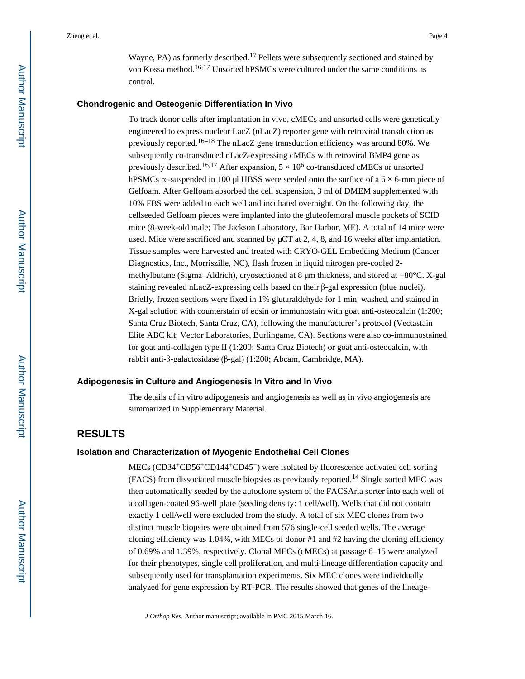Wayne, PA) as formerly described.17 Pellets were subsequently sectioned and stained by von Kossa method.16,17 Unsorted hPSMCs were cultured under the same conditions as

#### **Chondrogenic and Osteogenic Differentiation In Vivo**

control.

To track donor cells after implantation in vivo, cMECs and unsorted cells were genetically engineered to express nuclear LacZ (nLacZ) reporter gene with retroviral transduction as previously reported.<sup>16–18</sup> The nLacZ gene transduction efficiency was around 80%. We subsequently co-transduced nLacZ-expressing cMECs with retroviral BMP4 gene as previously described.<sup>16,17</sup> After expansion,  $5 \times 10^6$  co-transduced cMECs or unsorted hPSMCs re-suspended in 100 μl HBSS were seeded onto the surface of a 6 × 6-mm piece of Gelfoam. After Gelfoam absorbed the cell suspension, 3 ml of DMEM supplemented with 10% FBS were added to each well and incubated overnight. On the following day, the cellseeded Gelfoam pieces were implanted into the gluteofemoral muscle pockets of SCID mice (8-week-old male; The Jackson Laboratory, Bar Harbor, ME). A total of 14 mice were used. Mice were sacrificed and scanned by μCT at 2, 4, 8, and 16 weeks after implantation. Tissue samples were harvested and treated with CRYO-GEL Embedding Medium (Cancer Diagnostics, Inc., Morriszille, NC), flash frozen in liquid nitrogen pre-cooled 2 methylbutane (Sigma–Aldrich), cryosectioned at 8 μm thickness, and stored at −80°C. X-gal staining revealed nLacZ-expressing cells based on their β-gal expression (blue nuclei). Briefly, frozen sections were fixed in 1% glutaraldehyde for 1 min, washed, and stained in X-gal solution with counterstain of eosin or immunostain with goat anti-osteocalcin (1:200; Santa Cruz Biotech, Santa Cruz, CA), following the manufacturer's protocol (Vectastain Elite ABC kit; Vector Laboratories, Burlingame, CA). Sections were also co-immunostained for goat anti-collagen type II (1:200; Santa Cruz Biotech) or goat anti-osteocalcin, with rabbit anti-β-galactosidase (β-gal) (1:200; Abcam, Cambridge, MA).

#### **Adipogenesis in Culture and Angiogenesis In Vitro and In Vivo**

The details of in vitro adipogenesis and angiogenesis as well as in vivo angiogenesis are summarized in Supplementary Material.

# **RESULTS**

#### **Isolation and Characterization of Myogenic Endothelial Cell Clones**

MECs (CD34+CD56+CD144+CD45−) were isolated by fluorescence activated cell sorting (FACS) from dissociated muscle biopsies as previously reported.14 Single sorted MEC was then automatically seeded by the autoclone system of the FACSAria sorter into each well of a collagen-coated 96-well plate (seeding density: 1 cell/well). Wells that did not contain exactly 1 cell/well were excluded from the study. A total of six MEC clones from two distinct muscle biopsies were obtained from 576 single-cell seeded wells. The average cloning efficiency was 1.04%, with MECs of donor #1 and #2 having the cloning efficiency of 0.69% and 1.39%, respectively. Clonal MECs (cMECs) at passage 6–15 were analyzed for their phenotypes, single cell proliferation, and multi-lineage differentiation capacity and subsequently used for transplantation experiments. Six MEC clones were individually analyzed for gene expression by RT-PCR. The results showed that genes of the lineage-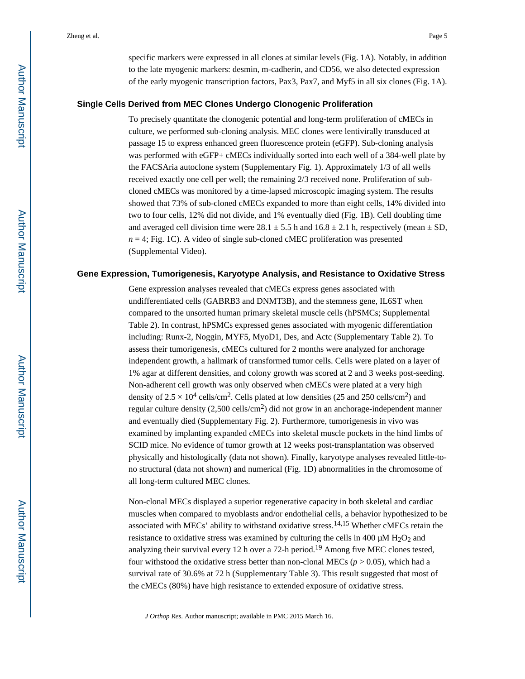specific markers were expressed in all clones at similar levels (Fig. 1A). Notably, in addition to the late myogenic markers: desmin, m-cadherin, and CD56, we also detected expression of the early myogenic transcription factors, Pax3, Pax7, and Myf5 in all six clones (Fig. 1A).

#### **Single Cells Derived from MEC Clones Undergo Clonogenic Proliferation**

To precisely quantitate the clonogenic potential and long-term proliferation of cMECs in culture, we performed sub-cloning analysis. MEC clones were lentivirally transduced at passage 15 to express enhanced green fluorescence protein (eGFP). Sub-cloning analysis was performed with eGFP+ cMECs individually sorted into each well of a 384-well plate by the FACSAria autoclone system (Supplementary Fig. 1). Approximately 1/3 of all wells received exactly one cell per well; the remaining 2/3 received none. Proliferation of subcloned cMECs was monitored by a time-lapsed microscopic imaging system. The results showed that 73% of sub-cloned cMECs expanded to more than eight cells, 14% divided into two to four cells, 12% did not divide, and 1% eventually died (Fig. 1B). Cell doubling time and averaged cell division time were  $28.1 \pm 5.5$  h and  $16.8 \pm 2.1$  h, respectively (mean  $\pm$  SD,  $n = 4$ ; Fig. 1C). A video of single sub-cloned cMEC proliferation was presented (Supplemental Video).

#### **Gene Expression, Tumorigenesis, Karyotype Analysis, and Resistance to Oxidative Stress**

Gene expression analyses revealed that cMECs express genes associated with undifferentiated cells (GABRB3 and DNMT3B), and the stemness gene, IL6ST when compared to the unsorted human primary skeletal muscle cells (hPSMCs; Supplemental Table 2). In contrast, hPSMCs expressed genes associated with myogenic differentiation including: Runx-2, Noggin, MYF5, MyoD1, Des, and Actc (Supplementary Table 2). To assess their tumorigenesis, cMECs cultured for 2 months were analyzed for anchorage independent growth, a hallmark of transformed tumor cells. Cells were plated on a layer of 1% agar at different densities, and colony growth was scored at 2 and 3 weeks post-seeding. Non-adherent cell growth was only observed when cMECs were plated at a very high density of  $2.5 \times 10^4$  cells/cm<sup>2</sup>. Cells plated at low densities (25 and 250 cells/cm<sup>2</sup>) and regular culture density  $(2,500 \text{ cells/cm}^2)$  did not grow in an anchorage-independent manner and eventually died (Supplementary Fig. 2). Furthermore, tumorigenesis in vivo was examined by implanting expanded cMECs into skeletal muscle pockets in the hind limbs of SCID mice. No evidence of tumor growth at 12 weeks post-transplantation was observed physically and histologically (data not shown). Finally, karyotype analyses revealed little-tono structural (data not shown) and numerical (Fig. 1D) abnormalities in the chromosome of all long-term cultured MEC clones.

Non-clonal MECs displayed a superior regenerative capacity in both skeletal and cardiac muscles when compared to myoblasts and/or endothelial cells, a behavior hypothesized to be associated with MECs' ability to withstand oxidative stress.14,15 Whether cMECs retain the resistance to oxidative stress was examined by culturing the cells in 400  $\mu$ M H<sub>2</sub>O<sub>2</sub> and analyzing their survival every 12 h over a 72-h period.<sup>19</sup> Among five MEC clones tested, four withstood the oxidative stress better than non-clonal MECs ( $p > 0.05$ ), which had a survival rate of 30.6% at 72 h (Supplementary Table 3). This result suggested that most of the cMECs (80%) have high resistance to extended exposure of oxidative stress.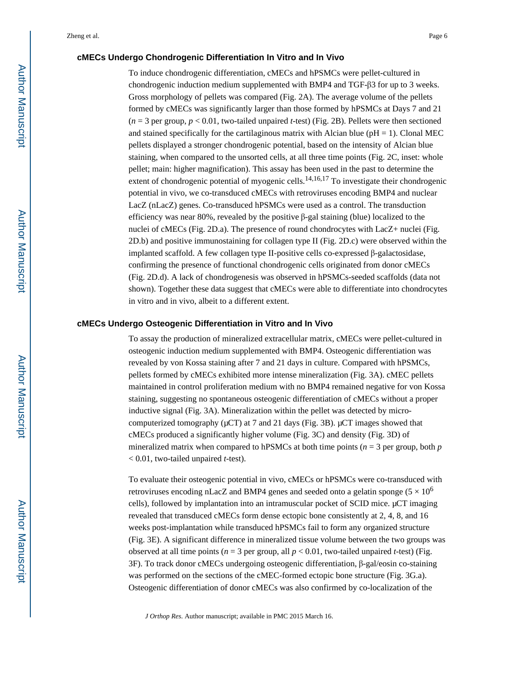#### **cMECs Undergo Chondrogenic Differentiation In Vitro and In Vivo**

To induce chondrogenic differentiation, cMECs and hPSMCs were pellet-cultured in chondrogenic induction medium supplemented with BMP4 and TGF-β3 for up to 3 weeks. Gross morphology of pellets was compared (Fig. 2A). The average volume of the pellets formed by cMECs was significantly larger than those formed by hPSMCs at Days 7 and 21  $(n = 3$  per group,  $p < 0.01$ , two-tailed unpaired *t*-test) (Fig. 2B). Pellets were then sectioned and stained specifically for the cartilaginous matrix with Alcian blue ( $pH = 1$ ). Clonal MEC pellets displayed a stronger chondrogenic potential, based on the intensity of Alcian blue staining, when compared to the unsorted cells, at all three time points (Fig. 2C, inset: whole pellet; main: higher magnification). This assay has been used in the past to determine the extent of chondrogenic potential of myogenic cells.<sup>14,16,17</sup> To investigate their chondrogenic potential in vivo, we co-transduced cMECs with retroviruses encoding BMP4 and nuclear LacZ (nLacZ) genes. Co-transduced hPSMCs were used as a control. The transduction efficiency was near 80%, revealed by the positive β-gal staining (blue) localized to the nuclei of cMECs (Fig. 2D.a). The presence of round chondrocytes with LacZ+ nuclei (Fig. 2D.b) and positive immunostaining for collagen type II (Fig. 2D.c) were observed within the implanted scaffold. A few collagen type II-positive cells co-expressed β-galactosidase, confirming the presence of functional chondrogenic cells originated from donor cMECs (Fig. 2D.d). A lack of chondrogenesis was observed in hPSMCs-seeded scaffolds (data not shown). Together these data suggest that cMECs were able to differentiate into chondrocytes in vitro and in vivo, albeit to a different extent.

#### **cMECs Undergo Osteogenic Differentiation in Vitro and In Vivo**

To assay the production of mineralized extracellular matrix, cMECs were pellet-cultured in osteogenic induction medium supplemented with BMP4. Osteogenic differentiation was revealed by von Kossa staining after 7 and 21 days in culture. Compared with hPSMCs, pellets formed by cMECs exhibited more intense mineralization (Fig. 3A). cMEC pellets maintained in control proliferation medium with no BMP4 remained negative for von Kossa staining, suggesting no spontaneous osteogenic differentiation of cMECs without a proper inductive signal (Fig. 3A). Mineralization within the pellet was detected by microcomputerized tomography ( $μ$ CT) at 7 and 21 days (Fig. 3B).  $μ$ CT images showed that cMECs produced a significantly higher volume (Fig. 3C) and density (Fig. 3D) of mineralized matrix when compared to hPSMCs at both time points ( $n = 3$  per group, both  $p$ < 0.01, two-tailed unpaired *t*-test).

To evaluate their osteogenic potential in vivo, cMECs or hPSMCs were co-transduced with retroviruses encoding nLacZ and BMP4 genes and seeded onto a gelatin sponge ( $5 \times 10^6$ ) cells), followed by implantation into an intramuscular pocket of SCID mice. μCT imaging revealed that transduced cMECs form dense ectopic bone consistently at 2, 4, 8, and 16 weeks post-implantation while transduced hPSMCs fail to form any organized structure (Fig. 3E). A significant difference in mineralized tissue volume between the two groups was observed at all time points ( $n = 3$  per group, all  $p < 0.01$ , two-tailed unpaired *t*-test) (Fig. 3F). To track donor cMECs undergoing osteogenic differentiation, β-gal/eosin co-staining was performed on the sections of the cMEC-formed ectopic bone structure (Fig. 3G.a). Osteogenic differentiation of donor cMECs was also confirmed by co-localization of the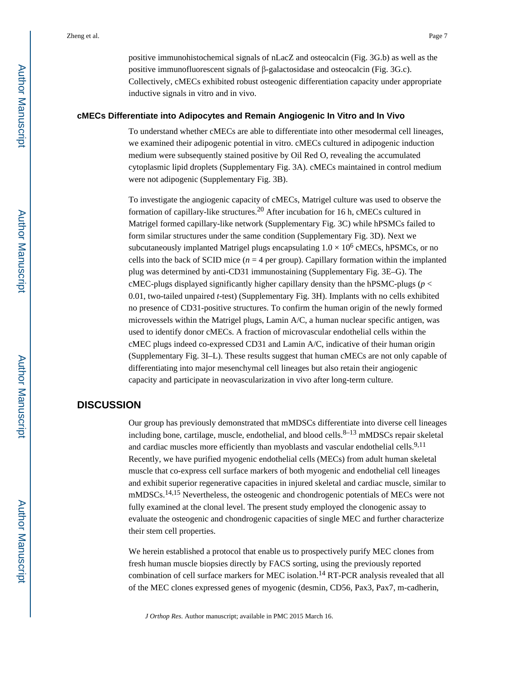positive immunohistochemical signals of nLacZ and osteocalcin (Fig. 3G.b) as well as the positive immunofluorescent signals of β-galactosidase and osteocalcin (Fig. 3G.c). Collectively, cMECs exhibited robust osteogenic differentiation capacity under appropriate inductive signals in vitro and in vivo.

#### **cMECs Differentiate into Adipocytes and Remain Angiogenic In Vitro and In Vivo**

To understand whether cMECs are able to differentiate into other mesodermal cell lineages, we examined their adipogenic potential in vitro. cMECs cultured in adipogenic induction medium were subsequently stained positive by Oil Red O, revealing the accumulated cytoplasmic lipid droplets (Supplementary Fig. 3A). cMECs maintained in control medium were not adipogenic (Supplementary Fig. 3B).

To investigate the angiogenic capacity of cMECs, Matrigel culture was used to observe the formation of capillary-like structures.20 After incubation for 16 h, cMECs cultured in Matrigel formed capillary-like network (Supplementary Fig. 3C) while hPSMCs failed to form similar structures under the same condition (Supplementary Fig. 3D). Next we subcutaneously implanted Matrigel plugs encapsulating  $1.0 \times 10^6$  cMECs, hPSMCs, or no cells into the back of SCID mice  $(n = 4$  per group). Capillary formation within the implanted plug was determined by anti-CD31 immunostaining (Supplementary Fig. 3E–G). The cMEC-plugs displayed significantly higher capillary density than the hPSMC-plugs (*p* < 0.01, two-tailed unpaired *t*-test) (Supplementary Fig. 3H). Implants with no cells exhibited no presence of CD31-positive structures. To confirm the human origin of the newly formed microvessels within the Matrigel plugs, Lamin A/C, a human nuclear specific antigen, was used to identify donor cMECs. A fraction of microvascular endothelial cells within the cMEC plugs indeed co-expressed CD31 and Lamin A/C, indicative of their human origin (Supplementary Fig. 3I–L). These results suggest that human cMECs are not only capable of differentiating into major mesenchymal cell lineages but also retain their angiogenic capacity and participate in neovascularization in vivo after long-term culture.

# **DISCUSSION**

Our group has previously demonstrated that mMDSCs differentiate into diverse cell lineages including bone, cartilage, muscle, endothelial, and blood cells. $8-13$  mMDSCs repair skeletal and cardiac muscles more efficiently than myoblasts and vascular endothelial cells.<sup>9,11</sup> Recently, we have purified myogenic endothelial cells (MECs) from adult human skeletal muscle that co-express cell surface markers of both myogenic and endothelial cell lineages and exhibit superior regenerative capacities in injured skeletal and cardiac muscle, similar to mMDSCs.<sup>14,15</sup> Nevertheless, the osteogenic and chondrogenic potentials of MECs were not fully examined at the clonal level. The present study employed the clonogenic assay to evaluate the osteogenic and chondrogenic capacities of single MEC and further characterize their stem cell properties.

We herein established a protocol that enable us to prospectively purify MEC clones from fresh human muscle biopsies directly by FACS sorting, using the previously reported combination of cell surface markers for MEC isolation.<sup>14</sup> RT-PCR analysis revealed that all of the MEC clones expressed genes of myogenic (desmin, CD56, Pax3, Pax7, m-cadherin,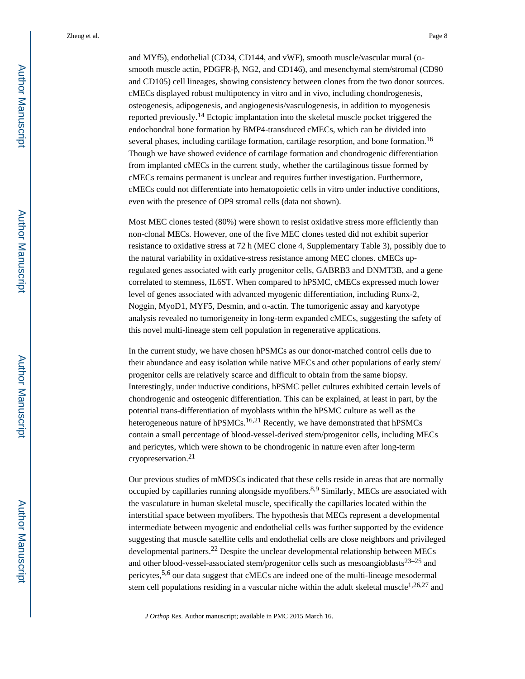Zheng et al. Page 8

and MYf5), endothelial (CD34, CD144, and vWF), smooth muscle/vascular mural (αsmooth muscle actin, PDGFR-β, NG2, and CD146), and mesenchymal stem/stromal (CD90 and CD105) cell lineages, showing consistency between clones from the two donor sources. cMECs displayed robust multipotency in vitro and in vivo, including chondrogenesis, osteogenesis, adipogenesis, and angiogenesis/vasculogenesis, in addition to myogenesis reported previously.14 Ectopic implantation into the skeletal muscle pocket triggered the endochondral bone formation by BMP4-transduced cMECs, which can be divided into several phases, including cartilage formation, cartilage resorption, and bone formation.<sup>16</sup> Though we have showed evidence of cartilage formation and chondrogenic differentiation from implanted cMECs in the current study, whether the cartilaginous tissue formed by cMECs remains permanent is unclear and requires further investigation. Furthermore, cMECs could not differentiate into hematopoietic cells in vitro under inductive conditions, even with the presence of OP9 stromal cells (data not shown).

Most MEC clones tested (80%) were shown to resist oxidative stress more efficiently than non-clonal MECs. However, one of the five MEC clones tested did not exhibit superior resistance to oxidative stress at 72 h (MEC clone 4, Supplementary Table 3), possibly due to the natural variability in oxidative-stress resistance among MEC clones. cMECs upregulated genes associated with early progenitor cells, GABRB3 and DNMT3B, and a gene correlated to stemness, IL6ST. When compared to hPSMC, cMECs expressed much lower level of genes associated with advanced myogenic differentiation, including Runx-2, Noggin, MyoD1, MYF5, Desmin, and α-actin. The tumorigenic assay and karyotype analysis revealed no tumorigeneity in long-term expanded cMECs, suggesting the safety of this novel multi-lineage stem cell population in regenerative applications.

In the current study, we have chosen hPSMCs as our donor-matched control cells due to their abundance and easy isolation while native MECs and other populations of early stem/ progenitor cells are relatively scarce and difficult to obtain from the same biopsy. Interestingly, under inductive conditions, hPSMC pellet cultures exhibited certain levels of chondrogenic and osteogenic differentiation. This can be explained, at least in part, by the potential trans-differentiation of myoblasts within the hPSMC culture as well as the heterogeneous nature of hPSMCs.<sup>16,21</sup> Recently, we have demonstrated that hPSMCs contain a small percentage of blood-vessel-derived stem/progenitor cells, including MECs and pericytes, which were shown to be chondrogenic in nature even after long-term cryopreservation.<sup>21</sup>

Our previous studies of mMDSCs indicated that these cells reside in areas that are normally occupied by capillaries running alongside myofibers.<sup>8,9</sup> Similarly, MECs are associated with the vasculature in human skeletal muscle, specifically the capillaries located within the interstitial space between myofibers. The hypothesis that MECs represent a developmental intermediate between myogenic and endothelial cells was further supported by the evidence suggesting that muscle satellite cells and endothelial cells are close neighbors and privileged developmental partners.<sup>22</sup> Despite the unclear developmental relationship between MECs and other blood-vessel-associated stem/progenitor cells such as mesoangioblasts $23-25$  and pericytes,<sup>5,6</sup> our data suggest that cMECs are indeed one of the multi-lineage mesodermal stem cell populations residing in a vascular niche within the adult skeletal muscle<sup>1,26,27</sup> and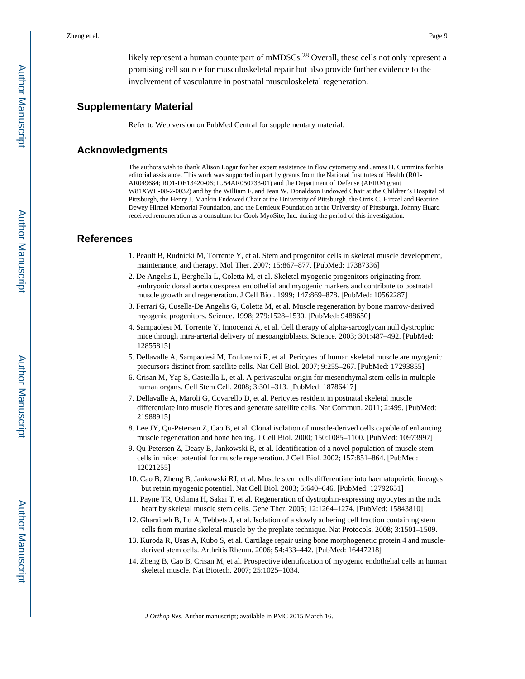likely represent a human counterpart of mMDSCs.<sup>28</sup> Overall, these cells not only represent a promising cell source for musculoskeletal repair but also provide further evidence to the involvement of vasculature in postnatal musculoskeletal regeneration.

## **Supplementary Material**

Refer to Web version on PubMed Central for supplementary material.

# **Acknowledgments**

The authors wish to thank Alison Logar for her expert assistance in flow cytometry and James H. Cummins for his editorial assistance. This work was supported in part by grants from the National Institutes of Health (R01- AR049684; RO1-DE13420-06; IU54AR050733-01) and the Department of Defense (AFIRM grant W81XWH-08-2-0032) and by the William F. and Jean W. Donaldson Endowed Chair at the Children's Hospital of Pittsburgh, the Henry J. Mankin Endowed Chair at the University of Pittsburgh, the Orris C. Hirtzel and Beatrice Dewey Hirtzel Memorial Foundation, and the Lemieux Foundation at the University of Pittsburgh. Johnny Huard received remuneration as a consultant for Cook MyoSite, Inc. during the period of this investigation.

## **References**

- 1. Peault B, Rudnicki M, Torrente Y, et al. Stem and progenitor cells in skeletal muscle development, maintenance, and therapy. Mol Ther. 2007; 15:867–877. [PubMed: 17387336]
- 2. De Angelis L, Berghella L, Coletta M, et al. Skeletal myogenic progenitors originating from embryonic dorsal aorta coexpress endothelial and myogenic markers and contribute to postnatal muscle growth and regeneration. J Cell Biol. 1999; 147:869–878. [PubMed: 10562287]
- 3. Ferrari G, Cusella-De Angelis G, Coletta M, et al. Muscle regeneration by bone marrow-derived myogenic progenitors. Science. 1998; 279:1528–1530. [PubMed: 9488650]
- 4. Sampaolesi M, Torrente Y, Innocenzi A, et al. Cell therapy of alpha-sarcoglycan null dystrophic mice through intra-arterial delivery of mesoangioblasts. Science. 2003; 301:487–492. [PubMed: 12855815]
- 5. Dellavalle A, Sampaolesi M, Tonlorenzi R, et al. Pericytes of human skeletal muscle are myogenic precursors distinct from satellite cells. Nat Cell Biol. 2007; 9:255–267. [PubMed: 17293855]
- 6. Crisan M, Yap S, Casteilla L, et al. A perivascular origin for mesenchymal stem cells in multiple human organs. Cell Stem Cell. 2008; 3:301–313. [PubMed: 18786417]
- 7. Dellavalle A, Maroli G, Covarello D, et al. Pericytes resident in postnatal skeletal muscle differentiate into muscle fibres and generate satellite cells. Nat Commun. 2011; 2:499. [PubMed: 21988915]
- 8. Lee JY, Qu-Petersen Z, Cao B, et al. Clonal isolation of muscle-derived cells capable of enhancing muscle regeneration and bone healing. J Cell Biol. 2000; 150:1085–1100. [PubMed: 10973997]
- 9. Qu-Petersen Z, Deasy B, Jankowski R, et al. Identification of a novel population of muscle stem cells in mice: potential for muscle regeneration. J Cell Biol. 2002; 157:851–864. [PubMed: 12021255]
- 10. Cao B, Zheng B, Jankowski RJ, et al. Muscle stem cells differentiate into haematopoietic lineages but retain myogenic potential. Nat Cell Biol. 2003; 5:640–646. [PubMed: 12792651]
- 11. Payne TR, Oshima H, Sakai T, et al. Regeneration of dystrophin-expressing myocytes in the mdx heart by skeletal muscle stem cells. Gene Ther. 2005; 12:1264–1274. [PubMed: 15843810]
- 12. Gharaibeh B, Lu A, Tebbets J, et al. Isolation of a slowly adhering cell fraction containing stem cells from murine skeletal muscle by the preplate technique. Nat Protocols. 2008; 3:1501–1509.
- 13. Kuroda R, Usas A, Kubo S, et al. Cartilage repair using bone morphogenetic protein 4 and musclederived stem cells. Arthritis Rheum. 2006; 54:433–442. [PubMed: 16447218]
- 14. Zheng B, Cao B, Crisan M, et al. Prospective identification of myogenic endothelial cells in human skeletal muscle. Nat Biotech. 2007; 25:1025–1034.

Author Manuscript

Author Manuscript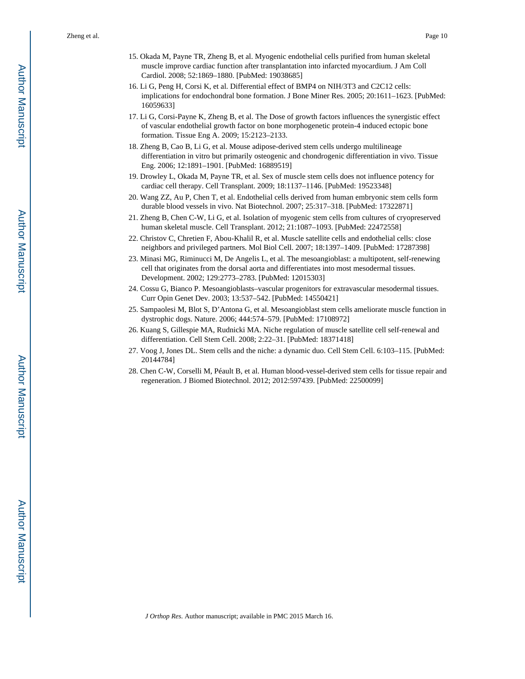Zheng et al. Page 10

- 15. Okada M, Payne TR, Zheng B, et al. Myogenic endothelial cells purified from human skeletal muscle improve cardiac function after transplantation into infarcted myocardium. J Am Coll Cardiol. 2008; 52:1869–1880. [PubMed: 19038685]
- 16. Li G, Peng H, Corsi K, et al. Differential effect of BMP4 on NIH/3T3 and C2C12 cells: implications for endochondral bone formation. J Bone Miner Res. 2005; 20:1611–1623. [PubMed: 16059633]
- 17. Li G, Corsi-Payne K, Zheng B, et al. The Dose of growth factors influences the synergistic effect of vascular endothelial growth factor on bone morphogenetic protein-4 induced ectopic bone formation. Tissue Eng A. 2009; 15:2123–2133.
- 18. Zheng B, Cao B, Li G, et al. Mouse adipose-derived stem cells undergo multilineage differentiation in vitro but primarily osteogenic and chondrogenic differentiation in vivo. Tissue Eng. 2006; 12:1891–1901. [PubMed: 16889519]
- 19. Drowley L, Okada M, Payne TR, et al. Sex of muscle stem cells does not influence potency for cardiac cell therapy. Cell Transplant. 2009; 18:1137–1146. [PubMed: 19523348]
- 20. Wang ZZ, Au P, Chen T, et al. Endothelial cells derived from human embryonic stem cells form durable blood vessels in vivo. Nat Biotechnol. 2007; 25:317–318. [PubMed: 17322871]
- 21. Zheng B, Chen C-W, Li G, et al. Isolation of myogenic stem cells from cultures of cryopreserved human skeletal muscle. Cell Transplant. 2012; 21:1087–1093. [PubMed: 22472558]
- 22. Christov C, Chretien F, Abou-Khalil R, et al. Muscle satellite cells and endothelial cells: close neighbors and privileged partners. Mol Biol Cell. 2007; 18:1397–1409. [PubMed: 17287398]
- 23. Minasi MG, Riminucci M, De Angelis L, et al. The mesoangioblast: a multipotent, self-renewing cell that originates from the dorsal aorta and differentiates into most mesodermal tissues. Development. 2002; 129:2773–2783. [PubMed: 12015303]
- 24. Cossu G, Bianco P. Mesoangioblasts–vascular progenitors for extravascular mesodermal tissues. Curr Opin Genet Dev. 2003; 13:537–542. [PubMed: 14550421]
- 25. Sampaolesi M, Blot S, D'Antona G, et al. Mesoangioblast stem cells ameliorate muscle function in dystrophic dogs. Nature. 2006; 444:574–579. [PubMed: 17108972]
- 26. Kuang S, Gillespie MA, Rudnicki MA. Niche regulation of muscle satellite cell self-renewal and differentiation. Cell Stem Cell. 2008; 2:22–31. [PubMed: 18371418]
- 27. Voog J, Jones DL. Stem cells and the niche: a dynamic duo. Cell Stem Cell. 6:103–115. [PubMed: 20144784]
- 28. Chen C-W, Corselli M, Péault B, et al. Human blood-vessel-derived stem cells for tissue repair and regeneration. J Biomed Biotechnol. 2012; 2012:597439. [PubMed: 22500099]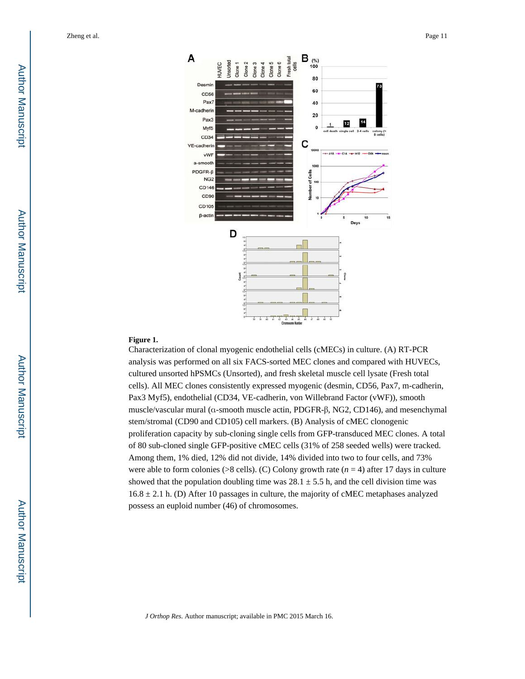

#### **Figure 1.**

Characterization of clonal myogenic endothelial cells (cMECs) in culture. (A) RT-PCR analysis was performed on all six FACS-sorted MEC clones and compared with HUVECs, cultured unsorted hPSMCs (Unsorted), and fresh skeletal muscle cell lysate (Fresh total cells). All MEC clones consistently expressed myogenic (desmin, CD56, Pax7, m-cadherin, Pax3 Myf5), endothelial (CD34, VE-cadherin, von Willebrand Factor (vWF)), smooth muscle/vascular mural (α-smooth muscle actin, PDGFR-β, NG2, CD146), and mesenchymal stem/stromal (CD90 and CD105) cell markers. (B) Analysis of cMEC clonogenic proliferation capacity by sub-cloning single cells from GFP-transduced MEC clones. A total of 80 sub-cloned single GFP-positive cMEC cells (31% of 258 seeded wells) were tracked. Among them, 1% died, 12% did not divide, 14% divided into two to four cells, and 73% were able to form colonies (>8 cells). (C) Colony growth rate (*n* = 4) after 17 days in culture showed that the population doubling time was  $28.1 \pm 5.5$  h, and the cell division time was  $16.8 \pm 2.1$  h. (D) After 10 passages in culture, the majority of cMEC metaphases analyzed possess an euploid number (46) of chromosomes.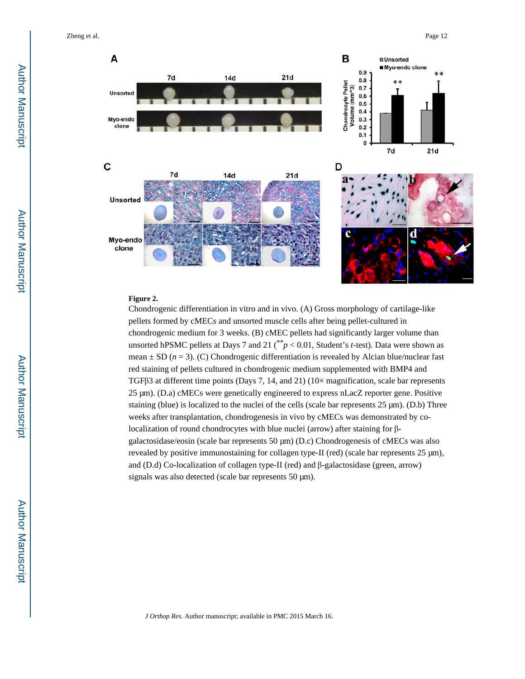Zheng et al. Page 12



#### **Figure 2.**

Chondrogenic differentiation in vitro and in vivo. (A) Gross morphology of cartilage-like pellets formed by cMECs and unsorted muscle cells after being pellet-cultured in chondrogenic medium for 3 weeks. (B) cMEC pellets had significantly larger volume than unsorted hPSMC pellets at Days 7 and 21 (\*\**p* < 0.01, Student's *t*-test). Data were shown as mean  $\pm$  SD ( $n = 3$ ). (C) Chondrogenic differentiation is revealed by Alcian blue/nuclear fast red staining of pellets cultured in chondrogenic medium supplemented with BMP4 and TGFβ3 at different time points (Days 7, 14, and 21) (10× magnification, scale bar represents 25 μm). (D.a) cMECs were genetically engineered to express nLacZ reporter gene. Positive staining (blue) is localized to the nuclei of the cells (scale bar represents 25 μm). (D.b) Three weeks after transplantation, chondrogenesis in vivo by cMECs was demonstrated by colocalization of round chondrocytes with blue nuclei (arrow) after staining for βgalactosidase/eosin (scale bar represents 50 μm) (D.c) Chondrogenesis of cMECs was also revealed by positive immunostaining for collagen type-II (red) (scale bar represents 25 μm), and (D.d) Co-localization of collagen type-II (red) and β-galactosidase (green, arrow) signals was also detected (scale bar represents 50 μm).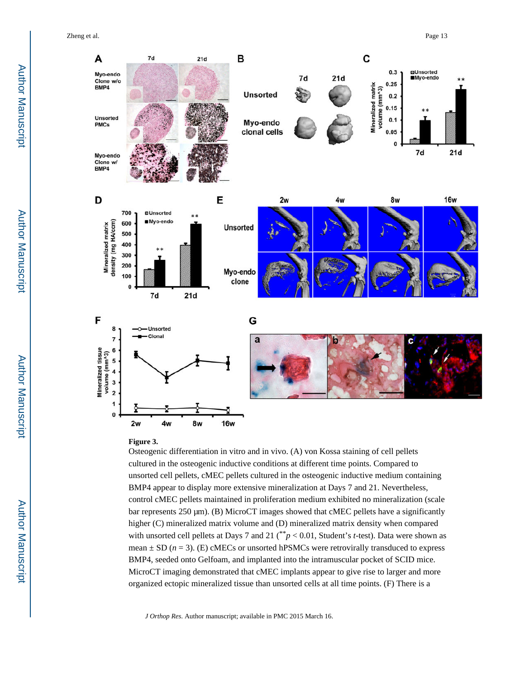Zheng et al. Page 13



#### **Figure 3.**

Osteogenic differentiation in vitro and in vivo. (A) von Kossa staining of cell pellets cultured in the osteogenic inductive conditions at different time points. Compared to unsorted cell pellets, cMEC pellets cultured in the osteogenic inductive medium containing BMP4 appear to display more extensive mineralization at Days 7 and 21. Nevertheless, control cMEC pellets maintained in proliferation medium exhibited no mineralization (scale bar represents 250 μm). (B) MicroCT images showed that cMEC pellets have a significantly higher (C) mineralized matrix volume and (D) mineralized matrix density when compared with unsorted cell pellets at Days 7 and 21 (\*\**p* < 0.01, Student's *t*-test). Data were shown as mean  $\pm$  SD ( $n = 3$ ). (E) cMECs or unsorted hPSMCs were retrovirally transduced to express BMP4, seeded onto Gelfoam, and implanted into the intramuscular pocket of SCID mice. MicroCT imaging demonstrated that cMEC implants appear to give rise to larger and more organized ectopic mineralized tissue than unsorted cells at all time points. (F) There is a